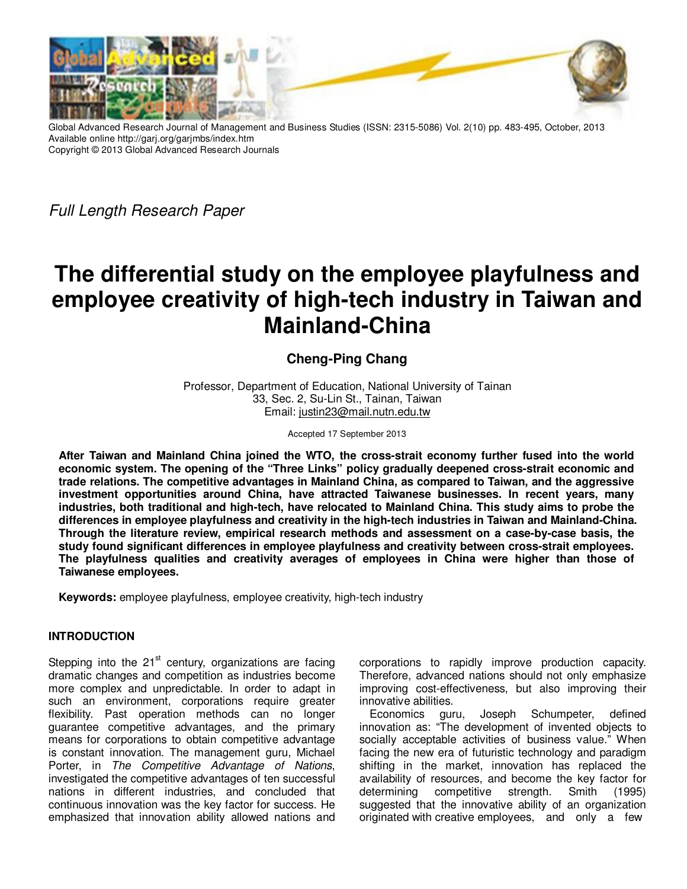

Global Advanced Research Journal of Management and Business Studies (ISSN: 2315-5086) Vol. 2(10) pp. 483-495, October, 2013 Available online http://garj.org/garjmbs/index.htm Copyright © 2013 Global Advanced Research Journals

Full Length Research Paper

# **The differential study on the employee playfulness and employee creativity of high-tech industry in Taiwan and Mainland-China**

## **Cheng-Ping Chang**

Professor, Department of Education, National University of Tainan 33, Sec. 2, Su-Lin St., Tainan, Taiwan Email: justin23@mail.nutn.edu.tw

Accepted 17 September 2013

**After Taiwan and Mainland China joined the WTO, the cross-strait economy further fused into the world economic system. The opening of the "Three Links" policy gradually deepened cross-strait economic and trade relations. The competitive advantages in Mainland China, as compared to Taiwan, and the aggressive investment opportunities around China, have attracted Taiwanese businesses. In recent years, many industries, both traditional and high-tech, have relocated to Mainland China. This study aims to probe the differences in employee playfulness and creativity in the high-tech industries in Taiwan and Mainland-China. Through the literature review, empirical research methods and assessment on a case-by-case basis, the study found significant differences in employee playfulness and creativity between cross-strait employees. The playfulness qualities and creativity averages of employees in China were higher than those of Taiwanese employees.** 

**Keywords:** employee playfulness, employee creativity, high-tech industry

## **INTRODUCTION**

Stepping into the  $21<sup>st</sup>$  century, organizations are facing dramatic changes and competition as industries become more complex and unpredictable. In order to adapt in such an environment, corporations require greater flexibility. Past operation methods can no longer guarantee competitive advantages, and the primary means for corporations to obtain competitive advantage is constant innovation. The management guru, Michael Porter, in The Competitive Advantage of Nations, investigated the competitive advantages of ten successful nations in different industries, and concluded that continuous innovation was the key factor for success. He emphasized that innovation ability allowed nations and

corporations to rapidly improve production capacity. Therefore, advanced nations should not only emphasize improving cost-effectiveness, but also improving their innovative abilities.

Economics guru, Joseph Schumpeter, defined innovation as: "The development of invented objects to socially acceptable activities of business value." When facing the new era of futuristic technology and paradigm shifting in the market, innovation has replaced the availability of resources, and become the key factor for determining competitive strength. Smith (1995) suggested that the innovative ability of an organization originated with creative employees, and only a few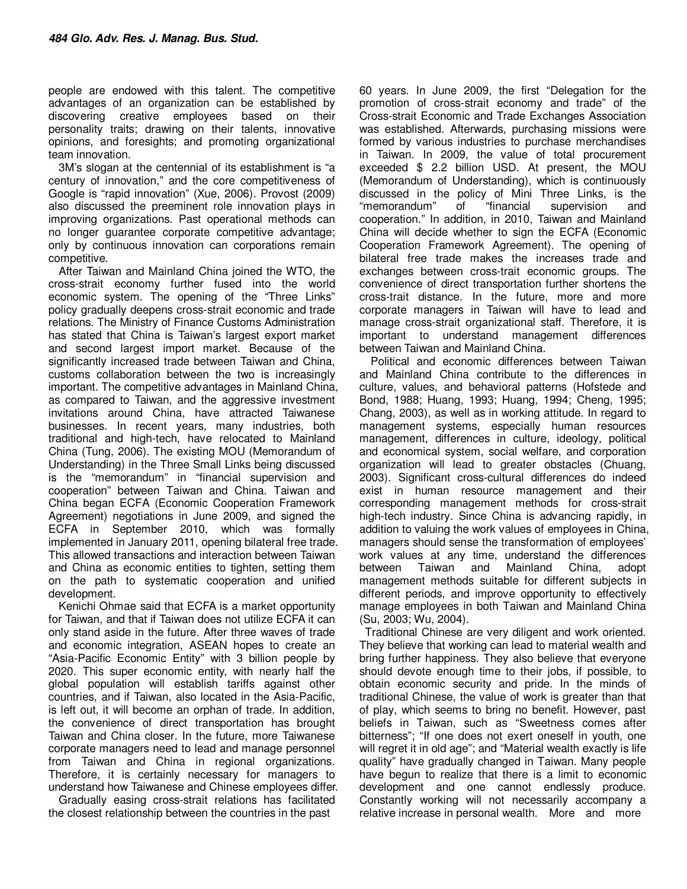people are endowed with this talent. The competitive advantages of an organization can be established by discovering creative employees based on their personality traits; drawing on their talents, innovative opinions, and foresights; and promoting organizational team innovation.

3M's slogan at the centennial of its establishment is "a century of innovation," and the core competitiveness of Google is "rapid innovation" (Xue, 2006). Provost (2009) also discussed the preeminent role innovation plays in improving organizations. Past operational methods can no longer guarantee corporate competitive advantage; only by continuous innovation can corporations remain competitive.

After Taiwan and Mainland China joined the WTO, the cross-strait economy further fused into the world economic system. The opening of the "Three Links" policy gradually deepens cross-strait economic and trade relations. The Ministry of Finance Customs Administration has stated that China is Taiwan's largest export market and second largest import market. Because of the significantly increased trade between Taiwan and China, customs collaboration between the two is increasingly important. The competitive advantages in Mainland China, as compared to Taiwan, and the aggressive investment invitations around China, have attracted Taiwanese businesses. In recent years, many industries, both traditional and high-tech, have relocated to Mainland China (Tung, 2006). The existing MOU (Memorandum of Understanding) in the Three Small Links being discussed is the "memorandum" in "financial supervision and cooperation" between Taiwan and China. Taiwan and China began ECFA (Economic Cooperation Framework Agreement) negotiations in June 2009, and signed the ECFA in September 2010, which was formally implemented in January 2011, opening bilateral free trade. This allowed transactions and interaction between Taiwan and China as economic entities to tighten, setting them on the path to systematic cooperation and unified development.

Kenichi Ohmae said that ECFA is a market opportunity for Taiwan, and that if Taiwan does not utilize ECFA it can only stand aside in the future. After three waves of trade and economic integration, ASEAN hopes to create an "Asia-Pacific Economic Entity" with 3 billion people by 2020. This super economic entity, with nearly half the global population will establish tariffs against other countries, and if Taiwan, also located in the Asia-Pacific, is left out, it will become an orphan of trade. In addition, the convenience of direct transportation has brought Taiwan and China closer. In the future, more Taiwanese corporate managers need to lead and manage personnel from Taiwan and China in regional organizations. Therefore, it is certainly necessary for managers to understand how Taiwanese and Chinese employees differ.

Gradually easing cross-strait relations has facilitated the closest relationship between the countries in the past

60 years. In June 2009, the first "Delegation for the promotion of cross-strait economy and trade" of the Cross-strait Economic and Trade Exchanges Association was established. Afterwards, purchasing missions were formed by various industries to purchase merchandises in Taiwan. In 2009, the value of total procurement exceeded \$ 2.2 billion USD. At present, the MOU (Memorandum of Understanding), which is continuously discussed in the policy of Mini Three Links, is the "memorandum" of "financial supervision and cooperation." In addition, in 2010, Taiwan and Mainland China will decide whether to sign the ECFA (Economic Cooperation Framework Agreement). The opening of bilateral free trade makes the increases trade and exchanges between cross-trait economic groups. The convenience of direct transportation further shortens the cross-trait distance. In the future, more and more corporate managers in Taiwan will have to lead and manage cross-strait organizational staff. Therefore, it is important to understand management differences between Taiwan and Mainland China.

 Political and economic differences between Taiwan and Mainland China contribute to the differences in culture, values, and behavioral patterns (Hofstede and Bond, 1988; Huang, 1993; Huang, 1994; Cheng, 1995; Chang, 2003), as well as in working attitude. In regard to management systems, especially human resources management, differences in culture, ideology, political and economical system, social welfare, and corporation organization will lead to greater obstacles (Chuang, 2003). Significant cross-cultural differences do indeed exist in human resource management and their corresponding management methods for cross-strait high-tech industry. Since China is advancing rapidly, in addition to valuing the work values of employees in China, managers should sense the transformation of employees' work values at any time, understand the differences between Taiwan and Mainland China, adopt management methods suitable for different subjects in different periods, and improve opportunity to effectively manage employees in both Taiwan and Mainland China (Su, 2003; Wu, 2004).

 Traditional Chinese are very diligent and work oriented. They believe that working can lead to material wealth and bring further happiness. They also believe that everyone should devote enough time to their jobs, if possible, to obtain economic security and pride. In the minds of traditional Chinese, the value of work is greater than that of play, which seems to bring no benefit. However, past beliefs in Taiwan, such as "Sweetness comes after bitterness"; "If one does not exert oneself in youth, one will regret it in old age"; and "Material wealth exactly is life quality" have gradually changed in Taiwan. Many people have begun to realize that there is a limit to economic development and one cannot endlessly produce. Constantly working will not necessarily accompany a relative increase in personal wealth. More and more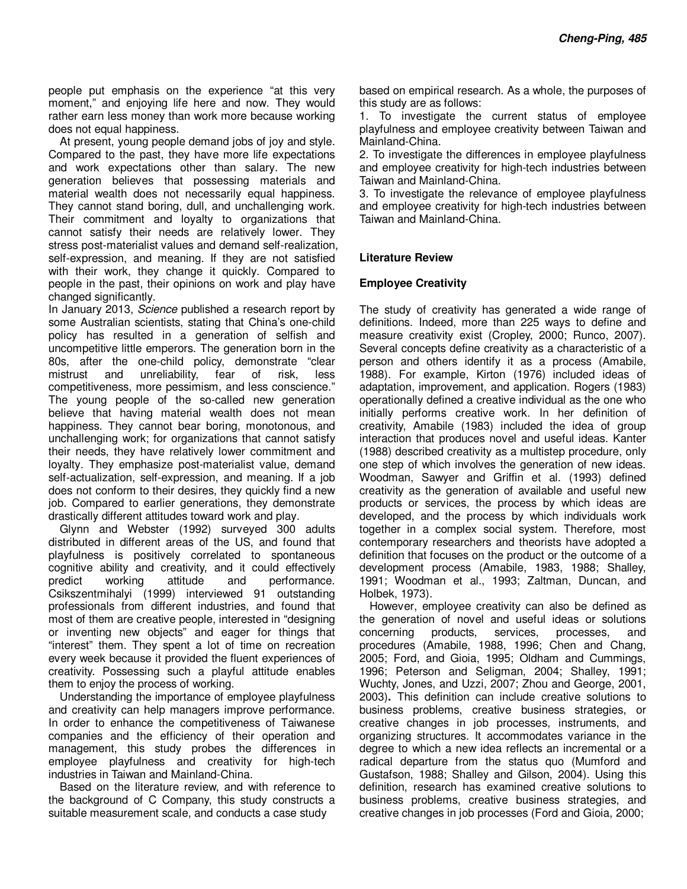people put emphasis on the experience "at this very moment," and enjoying life here and now. They would rather earn less money than work more because working does not equal happiness.

 At present, young people demand jobs of joy and style. Compared to the past, they have more life expectations and work expectations other than salary. The new generation believes that possessing materials and material wealth does not necessarily equal happiness. They cannot stand boring, dull, and unchallenging work. Their commitment and loyalty to organizations that cannot satisfy their needs are relatively lower. They stress post-materialist values and demand self-realization, self-expression, and meaning. If they are not satisfied with their work, they change it quickly. Compared to people in the past, their opinions on work and play have changed significantly.

In January 2013, Science published a research report by some Australian scientists, stating that China's one-child policy has resulted in a generation of selfish and uncompetitive little emperors. The generation born in the 80s, after the one-child policy, demonstrate "clear mistrust and unreliability, fear of risk, less competitiveness, more pessimism, and less conscience." The young people of the so-called new generation believe that having material wealth does not mean happiness. They cannot bear boring, monotonous, and unchallenging work; for organizations that cannot satisfy their needs, they have relatively lower commitment and loyalty. They emphasize post-materialist value, demand self-actualization, self-expression, and meaning. If a job does not conform to their desires, they quickly find a new job. Compared to earlier generations, they demonstrate drastically different attitudes toward work and play.

 Glynn and Webster (1992) surveyed 300 adults distributed in different areas of the US, and found that playfulness is positively correlated to spontaneous cognitive ability and creativity, and it could effectively predict working attitude and performance. Csikszentmihalyi (1999) interviewed 91 outstanding professionals from different industries, and found that most of them are creative people, interested in "designing or inventing new objects" and eager for things that "interest" them. They spent a lot of time on recreation every week because it provided the fluent experiences of creativity. Possessing such a playful attitude enables them to enjoy the process of working.

 Understanding the importance of employee playfulness and creativity can help managers improve performance. In order to enhance the competitiveness of Taiwanese companies and the efficiency of their operation and management, this study probes the differences in employee playfulness and creativity for high-tech industries in Taiwan and Mainland-China.

 Based on the literature review, and with reference to the background of C Company, this study constructs a suitable measurement scale, and conducts a case study

based on empirical research. As a whole, the purposes of this study are as follows:

1. To investigate the current status of employee playfulness and employee creativity between Taiwan and Mainland-China.

2. To investigate the differences in employee playfulness and employee creativity for high-tech industries between Taiwan and Mainland-China.

3. To investigate the relevance of employee playfulness and employee creativity for high-tech industries between Taiwan and Mainland-China.

## **Literature Review**

#### **Employee Creativity**

The study of creativity has generated a wide range of definitions. Indeed, more than 225 ways to define and measure creativity exist (Cropley, 2000; Runco, 2007). Several concepts define creativity as a characteristic of a person and others identify it as a process (Amabile, 1988). For example, Kirton (1976) included ideas of adaptation, improvement, and application. Rogers (1983) operationally defined a creative individual as the one who initially performs creative work. In her definition of creativity, Amabile (1983) included the idea of group interaction that produces novel and useful ideas. Kanter (1988) described creativity as a multistep procedure, only one step of which involves the generation of new ideas. Woodman, Sawyer and Griffin et al. (1993) defined creativity as the generation of available and useful new products or services, the process by which ideas are developed, and the process by which individuals work together in a complex social system. Therefore, most contemporary researchers and theorists have adopted a definition that focuses on the product or the outcome of a development process (Amabile, 1983, 1988; Shalley, 1991; Woodman et al., 1993; Zaltman, Duncan, and Holbek, 1973).

However, employee creativity can also be defined as the generation of novel and useful ideas or solutions concerning products, services, processes, and procedures (Amabile, 1988, 1996; Chen and Chang, 2005; Ford, and Gioia, 1995; Oldham and Cummings, 1996; Peterson and Seligman, 2004; Shalley, 1991; Wuchty, Jones, and Uzzi, 2007; Zhou and George, 2001, 2003)**.** This definition can include creative solutions to business problems, creative business strategies, or creative changes in job processes, instruments, and organizing structures. It accommodates variance in the degree to which a new idea reflects an incremental or a radical departure from the status quo (Mumford and Gustafson, 1988; Shalley and Gilson, 2004). Using this definition, research has examined creative solutions to business problems, creative business strategies, and creative changes in job processes (Ford and Gioia, 2000;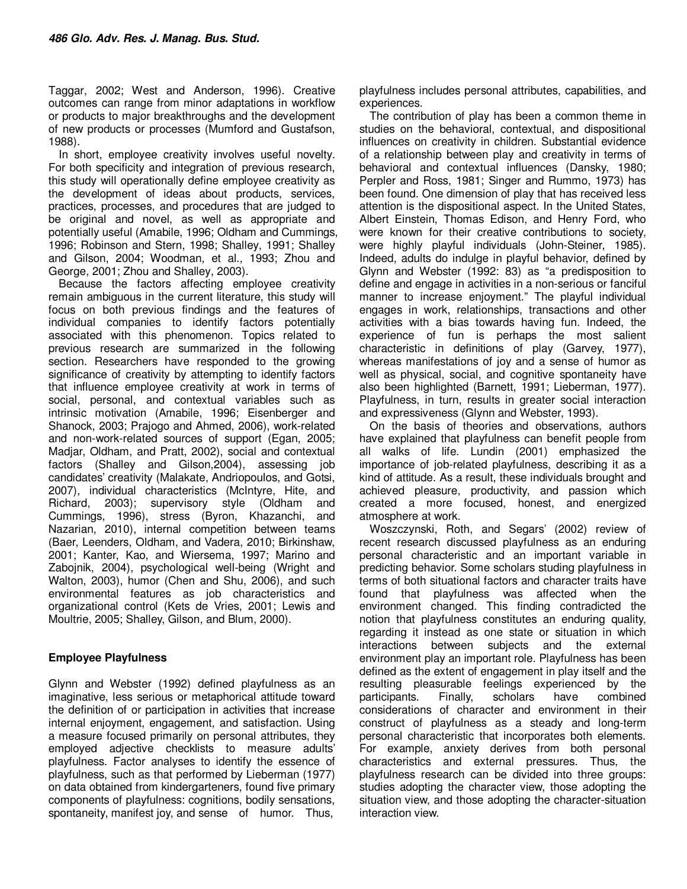Taggar, 2002; West and Anderson, 1996). Creative outcomes can range from minor adaptations in workflow or products to major breakthroughs and the development of new products or processes (Mumford and Gustafson, 1988).

In short, employee creativity involves useful novelty. For both specificity and integration of previous research, this study will operationally define employee creativity as the development of ideas about products, services, practices, processes, and procedures that are judged to be original and novel, as well as appropriate and potentially useful (Amabile, 1996; Oldham and Cummings, 1996; Robinson and Stern, 1998; Shalley, 1991; Shalley and Gilson, 2004; Woodman, et al., 1993; Zhou and George, 2001; Zhou and Shalley, 2003).

Because the factors affecting employee creativity remain ambiguous in the current literature, this study will focus on both previous findings and the features of individual companies to identify factors potentially associated with this phenomenon. Topics related to previous research are summarized in the following section. Researchers have responded to the growing significance of creativity by attempting to identify factors that influence employee creativity at work in terms of social, personal, and contextual variables such as intrinsic motivation (Amabile, 1996; Eisenberger and Shanock, 2003; Prajogo and Ahmed, 2006), work-related and non-work-related sources of support (Egan, 2005; Madjar, Oldham, and Pratt, 2002), social and contextual factors (Shalley and Gilson,2004), assessing job candidates' creativity (Malakate, Andriopoulos, and Gotsi, 2007), individual characteristics (McIntyre, Hite, and Richard, 2003); supervisory style (Oldham and Cummings, 1996), stress (Byron, Khazanchi, and Nazarian, 2010), internal competition between teams (Baer, Leenders, Oldham, and Vadera, 2010; Birkinshaw, 2001; Kanter, Kao, and Wiersema, 1997; Marino and Zabojnik, 2004), psychological well-being (Wright and Walton, 2003), humor (Chen and Shu, 2006), and such environmental features as job characteristics and organizational control (Kets de Vries, 2001; Lewis and Moultrie, 2005; Shalley, Gilson, and Blum, 2000).

## **Employee Playfulness**

Glynn and Webster (1992) defined playfulness as an imaginative, less serious or metaphorical attitude toward the definition of or participation in activities that increase internal enjoyment, engagement, and satisfaction. Using a measure focused primarily on personal attributes, they employed adjective checklists to measure adults' playfulness. Factor analyses to identify the essence of playfulness, such as that performed by Lieberman (1977) on data obtained from kindergarteners, found five primary components of playfulness: cognitions, bodily sensations, spontaneity, manifest joy, and sense of humor. Thus,

playfulness includes personal attributes, capabilities, and experiences.

The contribution of play has been a common theme in studies on the behavioral, contextual, and dispositional influences on creativity in children. Substantial evidence of a relationship between play and creativity in terms of behavioral and contextual influences (Dansky, 1980; Perpler and Ross, 1981; Singer and Rummo, 1973) has been found. One dimension of play that has received less attention is the dispositional aspect. In the United States, Albert Einstein, Thomas Edison, and Henry Ford, who were known for their creative contributions to society, were highly playful individuals (John-Steiner, 1985). Indeed, adults do indulge in playful behavior, defined by Glynn and Webster (1992: 83) as "a predisposition to define and engage in activities in a non-serious or fanciful manner to increase enjoyment." The playful individual engages in work, relationships, transactions and other activities with a bias towards having fun. Indeed, the experience of fun is perhaps the most salient characteristic in definitions of play (Garvey, 1977), whereas manifestations of joy and a sense of humor as well as physical, social, and cognitive spontaneity have also been highlighted (Barnett, 1991; Lieberman, 1977). Playfulness, in turn, results in greater social interaction and expressiveness (Glynn and Webster, 1993).

On the basis of theories and observations, authors have explained that playfulness can benefit people from all walks of life. Lundin (2001) emphasized the importance of job-related playfulness, describing it as a kind of attitude. As a result, these individuals brought and achieved pleasure, productivity, and passion which created a more focused, honest, and energized atmosphere at work.

Woszczynski, Roth, and Segars' (2002) review of recent research discussed playfulness as an enduring personal characteristic and an important variable in predicting behavior. Some scholars studing playfulness in terms of both situational factors and character traits have found that playfulness was affected when the environment changed. This finding contradicted the notion that playfulness constitutes an enduring quality, regarding it instead as one state or situation in which interactions between subjects and the external environment play an important role. Playfulness has been defined as the extent of engagement in play itself and the resulting pleasurable feelings experienced by the participants. Finally, scholars have combined considerations of character and environment in their construct of playfulness as a steady and long-term personal characteristic that incorporates both elements. For example, anxiety derives from both personal characteristics and external pressures. Thus, the playfulness research can be divided into three groups: studies adopting the character view, those adopting the situation view, and those adopting the character-situation interaction view.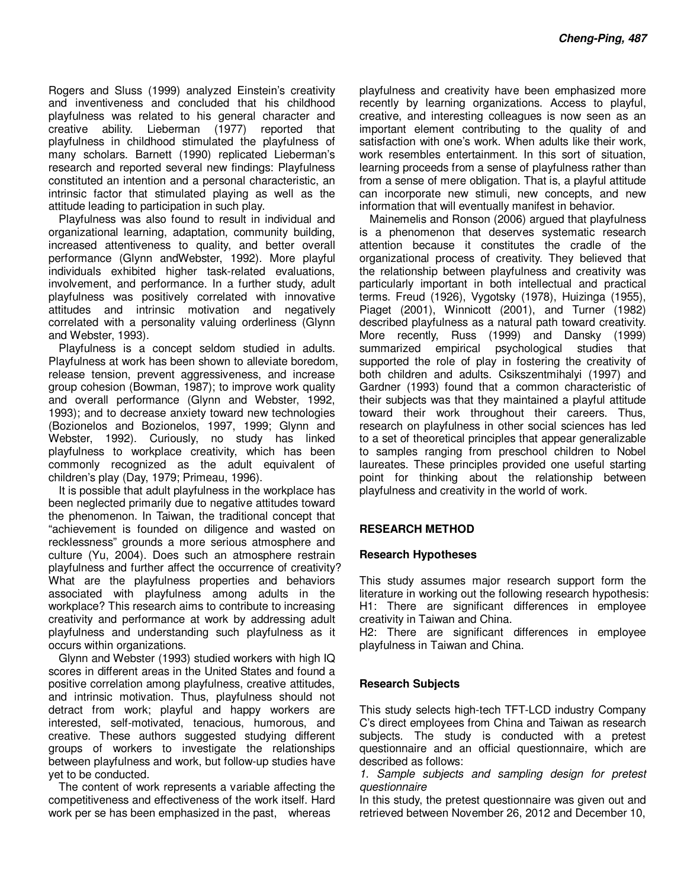Rogers and Sluss (1999) analyzed Einstein's creativity and inventiveness and concluded that his childhood playfulness was related to his general character and creative ability. Lieberman (1977) reported that playfulness in childhood stimulated the playfulness of many scholars. Barnett (1990) replicated Lieberman's research and reported several new findings: Playfulness constituted an intention and a personal characteristic, an intrinsic factor that stimulated playing as well as the attitude leading to participation in such play.

Playfulness was also found to result in individual and organizational learning, adaptation, community building, increased attentiveness to quality, and better overall performance (Glynn andWebster, 1992). More playful individuals exhibited higher task-related evaluations, involvement, and performance. In a further study, adult playfulness was positively correlated with innovative attitudes and intrinsic motivation and negatively correlated with a personality valuing orderliness (Glynn and Webster, 1993).

Playfulness is a concept seldom studied in adults. Playfulness at work has been shown to alleviate boredom, release tension, prevent aggressiveness, and increase group cohesion (Bowman, 1987); to improve work quality and overall performance (Glynn and Webster, 1992, 1993); and to decrease anxiety toward new technologies (Bozionelos and Bozionelos, 1997, 1999; Glynn and Webster, 1992). Curiously, no study has linked playfulness to workplace creativity, which has been commonly recognized as the adult equivalent of children's play (Day, 1979; Primeau, 1996).

It is possible that adult playfulness in the workplace has been neglected primarily due to negative attitudes toward the phenomenon. In Taiwan, the traditional concept that "achievement is founded on diligence and wasted on recklessness" grounds a more serious atmosphere and culture (Yu, 2004). Does such an atmosphere restrain playfulness and further affect the occurrence of creativity? What are the playfulness properties and behaviors associated with playfulness among adults in the workplace? This research aims to contribute to increasing creativity and performance at work by addressing adult playfulness and understanding such playfulness as it occurs within organizations.

Glynn and Webster (1993) studied workers with high IQ scores in different areas in the United States and found a positive correlation among playfulness, creative attitudes, and intrinsic motivation. Thus, playfulness should not detract from work; playful and happy workers are interested, self-motivated, tenacious, humorous, and creative. These authors suggested studying different groups of workers to investigate the relationships between playfulness and work, but follow-up studies have yet to be conducted.

The content of work represents a variable affecting the competitiveness and effectiveness of the work itself. Hard work per se has been emphasized in the past, whereas

playfulness and creativity have been emphasized more recently by learning organizations. Access to playful, creative, and interesting colleagues is now seen as an important element contributing to the quality of and satisfaction with one's work. When adults like their work, work resembles entertainment. In this sort of situation, learning proceeds from a sense of playfulness rather than from a sense of mere obligation. That is, a playful attitude can incorporate new stimuli, new concepts, and new information that will eventually manifest in behavior.

Mainemelis and Ronson (2006) argued that playfulness is a phenomenon that deserves systematic research attention because it constitutes the cradle of the organizational process of creativity. They believed that the relationship between playfulness and creativity was particularly important in both intellectual and practical terms. Freud (1926), Vygotsky (1978), Huizinga (1955), Piaget (2001), Winnicott (2001), and Turner (1982) described playfulness as a natural path toward creativity. More recently, Russ (1999) and Dansky (1999) summarized empirical psychological studies that supported the role of play in fostering the creativity of both children and adults. Csikszentmihalyi (1997) and Gardner (1993) found that a common characteristic of their subjects was that they maintained a playful attitude toward their work throughout their careers. Thus, research on playfulness in other social sciences has led to a set of theoretical principles that appear generalizable to samples ranging from preschool children to Nobel laureates. These principles provided one useful starting point for thinking about the relationship between playfulness and creativity in the world of work.

## **RESEARCH METHOD**

#### **Research Hypotheses**

This study assumes major research support form the literature in working out the following research hypothesis: H1: There are significant differences in employee creativity in Taiwan and China.

H2: There are significant differences in employee playfulness in Taiwan and China.

#### **Research Subjects**

This study selects high-tech TFT-LCD industry Company C's direct employees from China and Taiwan as research subjects. The study is conducted with a pretest questionnaire and an official questionnaire, which are described as follows:

1. Sample subjects and sampling design for pretest questionnaire

In this study, the pretest questionnaire was given out and retrieved between November 26, 2012 and December 10,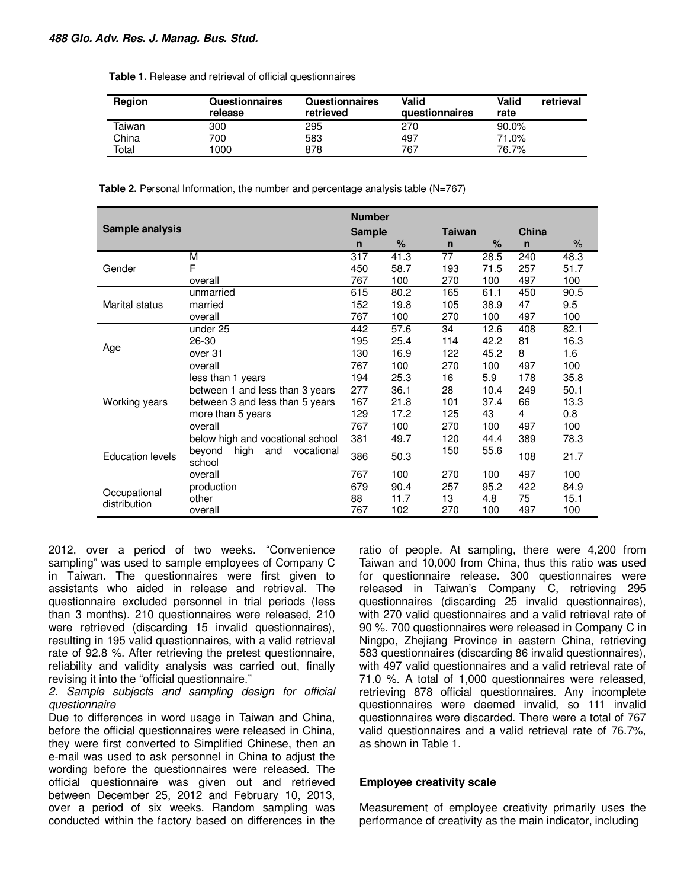| Table 1. Release and retrieval of official questionnaires |  |  |
|-----------------------------------------------------------|--|--|
|-----------------------------------------------------------|--|--|

| <b>Region</b> | Questionnaires<br>release | Questionnaires<br>retrieved | Valid<br>questionnaires | Valid<br>rate | retrieval |
|---------------|---------------------------|-----------------------------|-------------------------|---------------|-----------|
| Taiwan        | 300                       | 295                         | 270                     | $90.0\%$      |           |
| China         | 700                       | 583                         | 497                     | 71.0%         |           |
| Total         | $1000 +$                  | 878                         | 767                     | 76.7%         |           |

**Table 2.** Personal Information, the number and percentage analysis table (N=767)

|                              |                                               |               | <b>Number</b><br>China |              |               |              |      |  |  |
|------------------------------|-----------------------------------------------|---------------|------------------------|--------------|---------------|--------------|------|--|--|
| Sample analysis              |                                               | <b>Sample</b> |                        |              | <b>Taiwan</b> |              |      |  |  |
|                              |                                               | n             | $\%$                   | $\mathsf{n}$ | $\%$          | $\mathsf{n}$ | $\%$ |  |  |
|                              | М                                             | 317           | 41.3                   | 77           | 28.5          | 240          | 48.3 |  |  |
| Gender                       | F                                             | 450           | 58.7                   | 193          | 71.5          | 257          | 51.7 |  |  |
|                              | overall                                       | 767           | 100                    | 270          | 100           | 497          | 100  |  |  |
|                              | unmarried                                     | 615           | 80.2                   | 165          | 61.1          | 450          | 90.5 |  |  |
| Marital status               | married                                       | 152           | 19.8                   | 105          | 38.9          | 47           | 9.5  |  |  |
|                              | overall                                       | 767           | 100                    | 270          | 100           | 497          | 100  |  |  |
|                              | under 25                                      | 442           | 57.6                   | 34           | 12.6          | 408          | 82.1 |  |  |
|                              | 26-30                                         | 195           | 25.4                   | 114          | 42.2          | 81           | 16.3 |  |  |
| Age                          | over 31                                       | 130           | 16.9                   | 122          | 45.2          | 8            | 1.6  |  |  |
|                              | overall                                       | 767           | 100                    | 270          | 100           | 497          | 100  |  |  |
|                              | less than 1 years                             | 194           | 25.3                   | 16           | 5.9           | 178          | 35.8 |  |  |
|                              | between 1 and less than 3 years               | 277           | 36.1                   | 28           | 10.4          | 249          | 50.1 |  |  |
| Working years                | between 3 and less than 5 years               | 167           | 21.8                   | 101          | 37.4          | 66           | 13.3 |  |  |
|                              | more than 5 years                             | 129           | 17.2                   | 125          | 43            | 4            | 0.8  |  |  |
|                              | overall                                       | 767           | 100                    | 270          | 100           | 497          | 100  |  |  |
|                              | below high and vocational school              | 381           | 49.7                   | 120          | 44.4          | 389          | 78.3 |  |  |
| <b>Education levels</b>      | high<br>and<br>beyond<br>vocational<br>school | 386           | 50.3                   | 150          | 55.6          | 108          | 21.7 |  |  |
|                              | overall                                       | 767           | 100                    | 270          | 100           | 497          | 100  |  |  |
|                              | production                                    | 679           | 90.4                   | 257          | 95.2          | 422          | 84.9 |  |  |
| Occupational<br>distribution | other                                         | 88            | 11.7                   | 13           | 4.8           | 75           | 15.1 |  |  |
|                              | overall                                       | 767           | 102                    | 270          | 100           | 497          | 100  |  |  |

2012, over a period of two weeks. "Convenience sampling" was used to sample employees of Company C in Taiwan. The questionnaires were first given to assistants who aided in release and retrieval. The questionnaire excluded personnel in trial periods (less than 3 months). 210 questionnaires were released, 210 were retrieved (discarding 15 invalid questionnaires), resulting in 195 valid questionnaires, with a valid retrieval rate of 92.8 %. After retrieving the pretest questionnaire, reliability and validity analysis was carried out, finally revising it into the "official questionnaire."

2. Sample subjects and sampling design for official questionnaire

Due to differences in word usage in Taiwan and China, before the official questionnaires were released in China, they were first converted to Simplified Chinese, then an e-mail was used to ask personnel in China to adjust the wording before the questionnaires were released. The official questionnaire was given out and retrieved between December 25, 2012 and February 10, 2013, over a period of six weeks. Random sampling was conducted within the factory based on differences in the

ratio of people. At sampling, there were 4,200 from Taiwan and 10,000 from China, thus this ratio was used for questionnaire release. 300 questionnaires were released in Taiwan's Company C, retrieving 295 questionnaires (discarding 25 invalid questionnaires), with 270 valid questionnaires and a valid retrieval rate of 90 %. 700 questionnaires were released in Company C in Ningpo, Zhejiang Province in eastern China, retrieving 583 questionnaires (discarding 86 invalid questionnaires), with 497 valid questionnaires and a valid retrieval rate of 71.0 %. A total of 1,000 questionnaires were released, retrieving 878 official questionnaires. Any incomplete questionnaires were deemed invalid, so 111 invalid questionnaires were discarded. There were a total of 767 valid questionnaires and a valid retrieval rate of 76.7%, as shown in Table 1.

#### **Employee creativity scale**

Measurement of employee creativity primarily uses the performance of creativity as the main indicator, including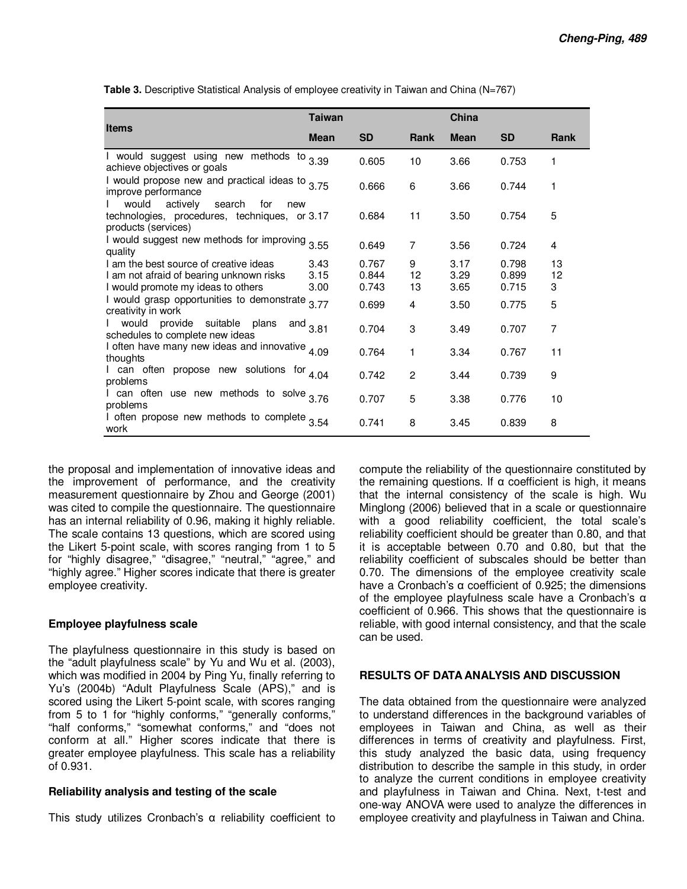|                                                                                                                          | <b>Taiwan</b>        |                         |                | China                |                         |                |
|--------------------------------------------------------------------------------------------------------------------------|----------------------|-------------------------|----------------|----------------------|-------------------------|----------------|
| <b>Items</b>                                                                                                             | <b>Mean</b>          | <b>SD</b>               | <b>Rank</b>    | <b>Mean</b>          | <b>SD</b>               | <b>Rank</b>    |
| I would suggest using new methods to $3.39$<br>achieve objectives or goals                                               |                      | 0.605                   | 10             | 3.66                 | 0.753                   | 1              |
| I would propose new and practical ideas to $3.75$<br>improve performance                                                 |                      | 0.666                   | 6              | 3.66                 | 0.744                   | 1              |
| would<br>actively<br>search<br>for<br>new<br>technologies, procedures, techniques, or 3.17<br>products (services)        |                      | 0.684                   | 11             | 3.50                 | 0.754                   | 5              |
| I would suggest new methods for improving 3.55<br>quality                                                                |                      | 0.649                   | $\overline{7}$ | 3.56                 | 0.724                   | 4              |
| I am the best source of creative ideas<br>I am not afraid of bearing unknown risks<br>I would promote my ideas to others | 3.43<br>3.15<br>3.00 | 0.767<br>0.844<br>0.743 | 9<br>12<br>13  | 3.17<br>3.29<br>3.65 | 0.798<br>0.899<br>0.715 | 13<br>12<br>3  |
| I would grasp opportunities to demonstrate<br>creativity in work                                                         | 3.77                 | 0.699                   | 4              | 3.50                 | 0.775                   | 5              |
| would provide suitable plans<br>schedules to complete new ideas                                                          | and $3.81$           | 0.704                   | 3              | 3.49                 | 0.707                   | $\overline{7}$ |
| I often have many new ideas and innovative $4.09$<br>thoughts                                                            |                      | 0.764                   | 1              | 3.34                 | 0.767                   | 11             |
| I can often propose new solutions for <sub>4.04</sub><br>problems                                                        |                      | 0.742                   | $\overline{2}$ | 3.44                 | 0.739                   | 9              |
| I can often use new methods to solve $3.76$<br>problems                                                                  |                      | 0.707                   | 5              | 3.38                 | 0.776                   | 10             |
| I often propose new methods to complete 3.54<br>work                                                                     |                      | 0.741                   | 8              | 3.45                 | 0.839                   | 8              |

**Table 3.** Descriptive Statistical Analysis of employee creativity in Taiwan and China (N=767)

the proposal and implementation of innovative ideas and the improvement of performance, and the creativity measurement questionnaire by Zhou and George (2001) was cited to compile the questionnaire. The questionnaire has an internal reliability of 0.96, making it highly reliable. The scale contains 13 questions, which are scored using the Likert 5-point scale, with scores ranging from 1 to 5 for "highly disagree," "disagree," "neutral," "agree," and "highly agree." Higher scores indicate that there is greater employee creativity.

## **Employee playfulness scale**

The playfulness questionnaire in this study is based on the "adult playfulness scale" by Yu and Wu et al. (2003), which was modified in 2004 by Ping Yu, finally referring to Yu's (2004b) "Adult Playfulness Scale (APS)," and is scored using the Likert 5-point scale, with scores ranging from 5 to 1 for "highly conforms," "generally conforms," "half conforms," "somewhat conforms," and "does not conform at all." Higher scores indicate that there is greater employee playfulness. This scale has a reliability of 0.931.

## **Reliability analysis and testing of the scale**

This study utilizes Cronbach's α reliability coefficient to

compute the reliability of the questionnaire constituted by the remaining questions. If  $\alpha$  coefficient is high, it means that the internal consistency of the scale is high. Wu Minglong (2006) believed that in a scale or questionnaire with a good reliability coefficient, the total scale's reliability coefficient should be greater than 0.80, and that it is acceptable between 0.70 and 0.80, but that the reliability coefficient of subscales should be better than 0.70. The dimensions of the employee creativity scale have a Cronbach's α coefficient of 0.925; the dimensions of the employee playfulness scale have a Cronbach's α coefficient of 0.966. This shows that the questionnaire is reliable, with good internal consistency, and that the scale can be used.

## **RESULTS OF DATA ANALYSIS AND DISCUSSION**

The data obtained from the questionnaire were analyzed to understand differences in the background variables of employees in Taiwan and China, as well as their differences in terms of creativity and playfulness. First, this study analyzed the basic data, using frequency distribution to describe the sample in this study, in order to analyze the current conditions in employee creativity and playfulness in Taiwan and China. Next, t-test and one-way ANOVA were used to analyze the differences in employee creativity and playfulness in Taiwan and China.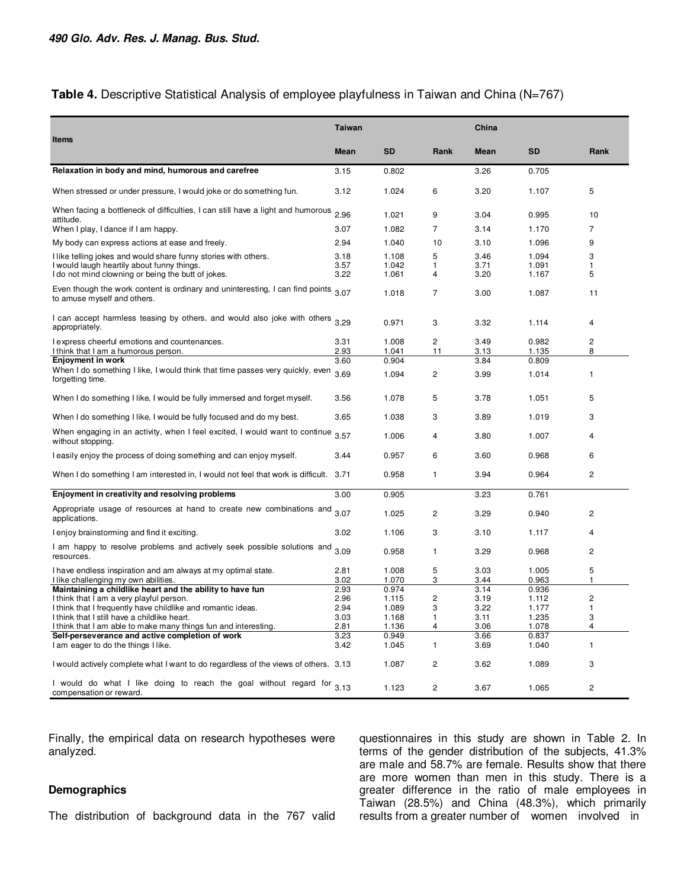## Table 4. Descriptive Statistical Analysis of employee playfulness in Taiwan and China (N=767)

|                                                                                                                                                                     | <b>Taiwan</b>        |                         |                | China                |                         |                |
|---------------------------------------------------------------------------------------------------------------------------------------------------------------------|----------------------|-------------------------|----------------|----------------------|-------------------------|----------------|
| Items                                                                                                                                                               |                      |                         |                |                      |                         |                |
|                                                                                                                                                                     | <b>Mean</b>          | <b>SD</b>               | Rank           | <b>Mean</b>          | <b>SD</b>               | Rank           |
| Relaxation in body and mind, humorous and carefree                                                                                                                  | 3.15                 | 0.802                   |                | 3.26                 | 0.705                   |                |
| When stressed or under pressure, I would joke or do something fun.                                                                                                  | 3.12                 | 1.024                   | 6              | 3.20                 | 1.107                   | 5              |
| When facing a bottleneck of difficulties, I can still have a light and humorous<br>attitude.                                                                        | 2.96                 | 1.021                   | 9              | 3.04                 | 0.995                   | 10             |
| When I play, I dance if I am happy.                                                                                                                                 | 3.07                 | 1.082                   | $\overline{7}$ | 3.14                 | 1.170                   | $\overline{7}$ |
| My body can express actions at ease and freely.                                                                                                                     | 2.94                 | 1.040                   | 10             | 3.10                 | 1.096                   | 9              |
| I like telling jokes and would share funny stories with others.<br>I would laugh heartily about funny things.<br>I do not mind clowning or being the butt of jokes. | 3.18<br>3.57<br>3.22 | 1.108<br>1.042<br>1.061 | 5<br>1<br>4    | 3.46<br>3.71<br>3.20 | 1.094<br>1.091<br>1.167 | 3<br>1<br>5    |
| Even though the work content is ordinary and uninteresting, I can find points $3.07$<br>to amuse myself and others.                                                 |                      | 1.018                   | $\overline{7}$ | 3.00                 | 1.087                   | 11             |
| I can accept harmless teasing by others, and would also joke with others<br>appropriately.                                                                          | 3.29                 | 0.971                   | 3              | 3.32                 | 1.114                   | 4              |
| I express cheerful emotions and countenances.<br>I think that I am a humorous person.                                                                               | 3.31<br>2.93         | 1.008<br>1.041          | 2<br>11        | 3.49<br>3.13         | 0.982<br>1.135          | 2<br>8         |
| Enjoyment in work                                                                                                                                                   | 3.60                 | 0.904                   |                | 3.84                 | 0.809                   |                |
| When I do something I like, I would think that time passes very quickly, even<br>forgetting time.                                                                   | 3.69                 | 1.094                   | $\overline{2}$ | 3.99                 | 1.014                   | 1              |
| When I do something I like, I would be fully immersed and forget myself.                                                                                            | 3.56                 | 1.078                   | 5              | 3.78                 | 1.051                   | 5              |
| When I do something I like, I would be fully focused and do my best.                                                                                                | 3.65                 | 1.038                   | 3              | 3.89                 | 1.019                   | 3              |
| When engaging in an activity, when I feel excited, I would want to continue 3.57<br>without stopping.                                                               |                      | 1.006                   | 4              | 3.80                 | 1.007                   | 4              |
| I easily enjoy the process of doing something and can enjoy myself.                                                                                                 | 3.44                 | 0.957                   | 6              | 3.60                 | 0.968                   | 6              |
| When I do something I am interested in, I would not feel that work is difficult. 3.71                                                                               |                      | 0.958                   | $\mathbf{1}$   | 3.94                 | 0.964                   | 2              |
| Enjoyment in creativity and resolving problems                                                                                                                      | 3.00                 | 0.905                   |                | 3.23                 | 0.761                   |                |
| Appropriate usage of resources at hand to create new combinations and<br>applications.                                                                              | 3.07                 | 1.025                   | 2              | 3.29                 | 0.940                   | 2              |
| I enjoy brainstorming and find it exciting.                                                                                                                         | 3.02                 | 1.106                   | 3              | 3.10                 | 1.117                   | 4              |
| I am happy to resolve problems and actively seek possible solutions and<br>resources.                                                                               | 3.09                 | 0.958                   | $\mathbf{1}$   | 3.29                 | 0.968                   | $\overline{c}$ |
| I have endless inspiration and am always at my optimal state.<br>I like challenging my own abilities.                                                               | 2.81<br>3.02         | 1.008<br>1.070          | 5<br>3         | 3.03<br>3.44         | 1.005<br>0.963          | 5<br>1         |
| Maintaining a childlike heart and the ability to have fun                                                                                                           | 2.93                 | 0.974                   |                | 3.14                 | 0.936                   |                |
| I think that I am a very playful person.<br>I think that I frequently have childlike and romantic ideas.                                                            | 2.96<br>2.94         | 1.115<br>1.089          | 2<br>3         | 3.19<br>3.22         | 1.112<br>1.177          | 2<br>1         |
| I think that I still have a childlike heart.                                                                                                                        | 3.03                 | 1.168                   | 1              | 3.11                 | 1.235                   | 3              |
| I think that I am able to make many things fun and interesting.                                                                                                     | 2.81                 | 1.136                   | 4              | 3.06                 | 1.078                   | 4              |
| Self-perseverance and active completion of work                                                                                                                     | 3.23                 | 0.949                   |                | 3.66                 | 0.837                   |                |
| I am eager to do the things I like.                                                                                                                                 | 3.42                 | 1.045                   | $\mathbf{1}$   | 3.69                 | 1.040                   | 1              |
| I would actively complete what I want to do regardless of the views of others. 3.13                                                                                 |                      | 1.087                   | $\overline{2}$ | 3.62                 | 1.089                   | 3              |
| I would do what I like doing to reach the goal without regard for 3.13<br>compensation or reward.                                                                   |                      | 1.123                   | $\overline{2}$ | 3.67                 | 1.065                   | 2              |

Finally, the empirical data on research hypotheses were analyzed.

## **Demographics**

The distribution of background data in the 767 valid

questionnaires in this study are shown in Table 2. In terms of the gender distribution of the subjects, 41.3% are male and 58.7% are female. Results show that there are more women than men in this study. There is a greater difference in the ratio of male employees in Taiwan (28.5%) and China (48.3%), which primarily results from a greater number of women involved in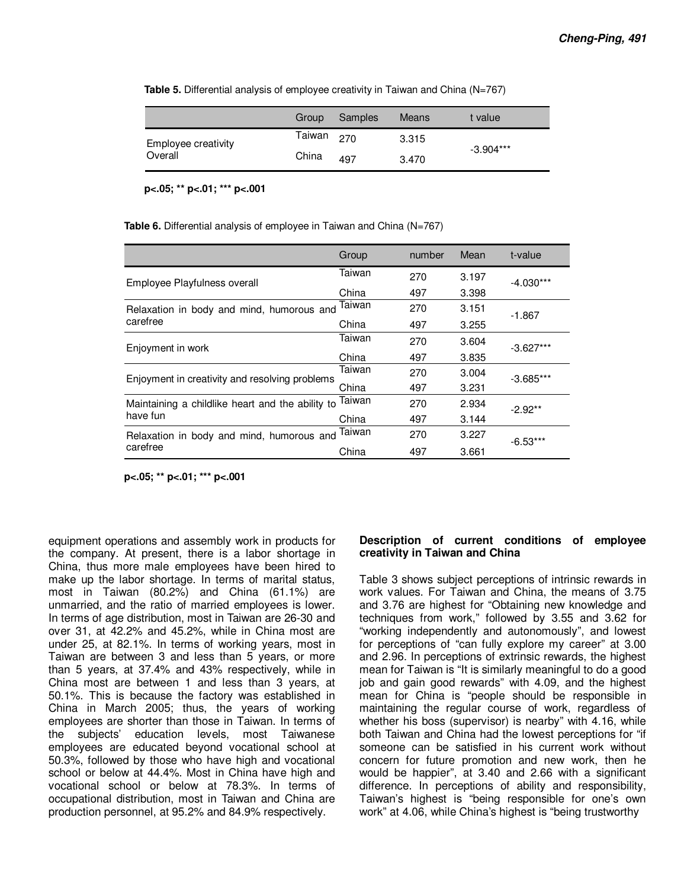|  |  |  |  | Table 5. Differential analysis of employee creativity in Taiwan and China (N=767) |  |  |  |
|--|--|--|--|-----------------------------------------------------------------------------------|--|--|--|
|--|--|--|--|-----------------------------------------------------------------------------------|--|--|--|

|                     | Group  | Samples | <b>Means</b> | t value     |
|---------------------|--------|---------|--------------|-------------|
| Employee creativity | Taiwan | 270     | 3.315        |             |
| Overall             | China  | 497     | 3.470        | $-3.904***$ |

**p<.05; \*\* p<.01; \*\*\* p<.001** 

**Table 6.** Differential analysis of employee in Taiwan and China (N=767)

|                                                  | Group  | number | Mean  | t-value     |  |
|--------------------------------------------------|--------|--------|-------|-------------|--|
| Employee Playfulness overall                     | Taiwan | 270    | 3.197 | $-4.030***$ |  |
|                                                  | China  | 497    | 3.398 |             |  |
| Relaxation in body and mind, humorous and        | Taiwan | 270    | 3.151 | $-1.867$    |  |
| carefree                                         | China  | 497    | 3.255 |             |  |
| Enjoyment in work                                | Taiwan | 270    | 3.604 | $-3.627***$ |  |
|                                                  | China  | 497    | 3.835 |             |  |
| Enjoyment in creativity and resolving problems   | Taiwan | 270    | 3.004 | $-3.685***$ |  |
|                                                  | China  | 497    | 3.231 |             |  |
| Maintaining a childlike heart and the ability to | Taiwan | 270    | 2.934 | $-2.92**$   |  |
| have fun                                         | China  | 497    | 3.144 |             |  |
| Relaxation in body and mind, humorous and Taiwan |        | 270    | 3.227 | $-6.53***$  |  |
| carefree                                         | China  | 497    | 3.661 |             |  |

**p<.05; \*\* p<.01; \*\*\* p<.001** 

equipment operations and assembly work in products for the company. At present, there is a labor shortage in China, thus more male employees have been hired to make up the labor shortage. In terms of marital status, most in Taiwan (80.2%) and China (61.1%) are unmarried, and the ratio of married employees is lower. In terms of age distribution, most in Taiwan are 26-30 and over 31, at 42.2% and 45.2%, while in China most are under 25, at 82.1%. In terms of working years, most in Taiwan are between 3 and less than 5 years, or more than 5 years, at 37.4% and 43% respectively, while in China most are between 1 and less than 3 years, at 50.1%. This is because the factory was established in China in March 2005; thus, the years of working employees are shorter than those in Taiwan. In terms of the subjects' education levels, most Taiwanese employees are educated beyond vocational school at 50.3%, followed by those who have high and vocational school or below at 44.4%. Most in China have high and vocational school or below at 78.3%. In terms of occupational distribution, most in Taiwan and China are production personnel, at 95.2% and 84.9% respectively.

#### **Description of current conditions of employee creativity in Taiwan and China**

Table 3 shows subject perceptions of intrinsic rewards in work values. For Taiwan and China, the means of 3.75 and 3.76 are highest for "Obtaining new knowledge and techniques from work," followed by 3.55 and 3.62 for "working independently and autonomously", and lowest for perceptions of "can fully explore my career" at 3.00 and 2.96. In perceptions of extrinsic rewards, the highest mean for Taiwan is "It is similarly meaningful to do a good job and gain good rewards" with 4.09, and the highest mean for China is "people should be responsible in maintaining the regular course of work, regardless of whether his boss (supervisor) is nearby" with 4.16, while both Taiwan and China had the lowest perceptions for "if someone can be satisfied in his current work without concern for future promotion and new work, then he would be happier", at 3.40 and 2.66 with a significant difference. In perceptions of ability and responsibility, Taiwan's highest is "being responsible for one's own work" at 4.06, while China's highest is "being trustworthy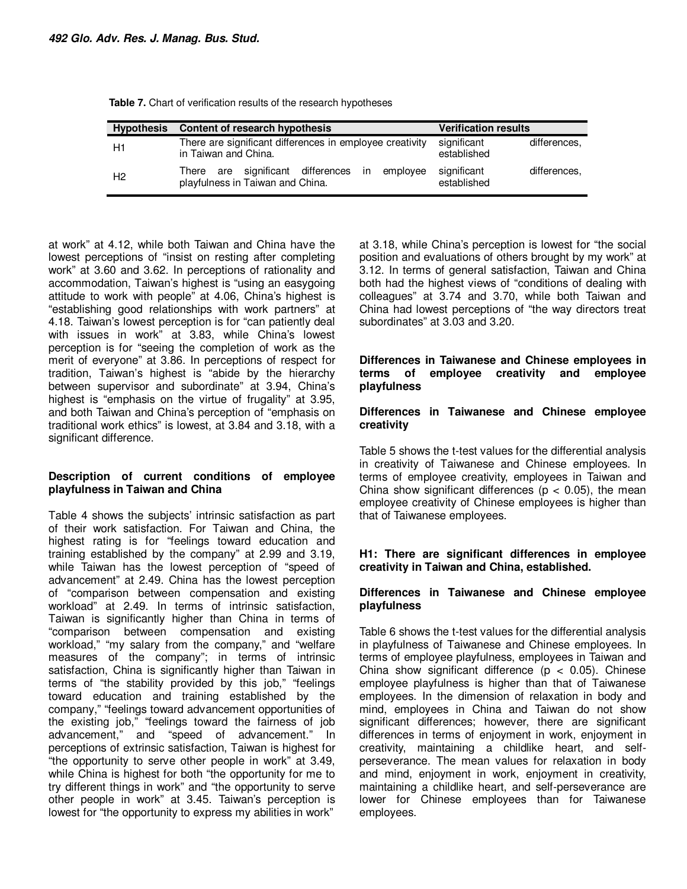| <b>Hypothesis</b> | Content of research hypothesis                                                       | <b>Verification results</b>                |
|-------------------|--------------------------------------------------------------------------------------|--------------------------------------------|
| H1                | There are significant differences in employee creativity<br>in Taiwan and China.     | significant<br>differences.<br>established |
| H <sub>2</sub>    | There are significant differences in<br>employee<br>playfulness in Taiwan and China. | significant<br>differences.<br>established |

**Table 7.** Chart of verification results of the research hypotheses

at work" at 4.12, while both Taiwan and China have the lowest perceptions of "insist on resting after completing work" at 3.60 and 3.62. In perceptions of rationality and accommodation, Taiwan's highest is "using an easygoing attitude to work with people" at 4.06, China's highest is "establishing good relationships with work partners" at 4.18. Taiwan's lowest perception is for "can patiently deal with issues in work" at 3.83, while China's lowest perception is for "seeing the completion of work as the merit of everyone" at 3.86. In perceptions of respect for tradition, Taiwan's highest is "abide by the hierarchy between supervisor and subordinate" at 3.94, China's highest is "emphasis on the virtue of frugality" at 3.95, and both Taiwan and China's perception of "emphasis on traditional work ethics" is lowest, at 3.84 and 3.18, with a significant difference.

## **Description of current conditions of employee playfulness in Taiwan and China**

Table 4 shows the subjects' intrinsic satisfaction as part of their work satisfaction. For Taiwan and China, the highest rating is for "feelings toward education and training established by the company" at 2.99 and 3.19, while Taiwan has the lowest perception of "speed of advancement" at 2.49. China has the lowest perception of "comparison between compensation and existing workload" at 2.49. In terms of intrinsic satisfaction, Taiwan is significantly higher than China in terms of "comparison between compensation and existing workload," "my salary from the company," and "welfare measures of the company"; in terms of intrinsic satisfaction, China is significantly higher than Taiwan in terms of "the stability provided by this job," "feelings toward education and training established by the company," "feelings toward advancement opportunities of the existing job," "feelings toward the fairness of job advancement." and "speed of advancement." In and "speed of advancement." In perceptions of extrinsic satisfaction, Taiwan is highest for "the opportunity to serve other people in work" at 3.49, while China is highest for both "the opportunity for me to try different things in work" and "the opportunity to serve other people in work" at 3.45. Taiwan's perception is lowest for "the opportunity to express my abilities in work"

at 3.18, while China's perception is lowest for "the social position and evaluations of others brought by my work" at 3.12. In terms of general satisfaction, Taiwan and China both had the highest views of "conditions of dealing with colleagues" at 3.74 and 3.70, while both Taiwan and China had lowest perceptions of "the way directors treat subordinates" at 3.03 and 3.20.

#### **Differences in Taiwanese and Chinese employees in terms of employee creativity and employee playfulness**

## **Differences in Taiwanese and Chinese employee creativity**

Table 5 shows the t-test values for the differential analysis in creativity of Taiwanese and Chinese employees. In terms of employee creativity, employees in Taiwan and China show significant differences ( $p < 0.05$ ), the mean employee creativity of Chinese employees is higher than that of Taiwanese employees.

## **H1: There are significant differences in employee creativity in Taiwan and China, established.**

## **Differences in Taiwanese and Chinese employee playfulness**

Table 6 shows the t-test values for the differential analysis in playfulness of Taiwanese and Chinese employees. In terms of employee playfulness, employees in Taiwan and China show significant difference ( $p < 0.05$ ). Chinese employee playfulness is higher than that of Taiwanese employees. In the dimension of relaxation in body and mind, employees in China and Taiwan do not show significant differences; however, there are significant differences in terms of enjoyment in work, enjoyment in creativity, maintaining a childlike heart, and selfperseverance. The mean values for relaxation in body and mind, enjoyment in work, enjoyment in creativity, maintaining a childlike heart, and self-perseverance are lower for Chinese employees than for Taiwanese employees.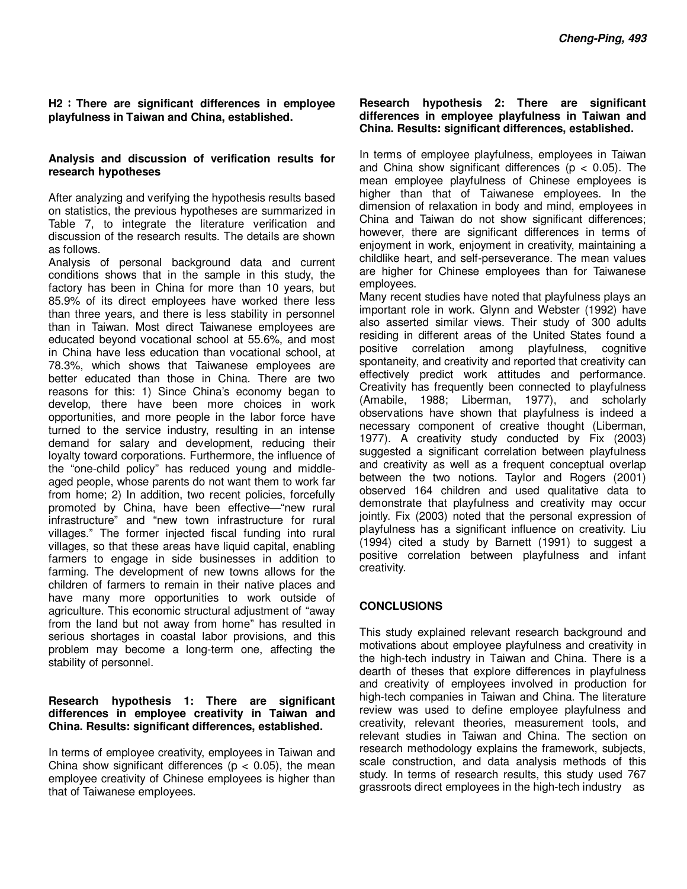## **H2**:**There are significant differences in employee playfulness in Taiwan and China, established.**

## **Analysis and discussion of verification results for research hypotheses**

After analyzing and verifying the hypothesis results based on statistics, the previous hypotheses are summarized in Table 7, to integrate the literature verification and discussion of the research results. The details are shown as follows.

Analysis of personal background data and current conditions shows that in the sample in this study, the factory has been in China for more than 10 years, but 85.9% of its direct employees have worked there less than three years, and there is less stability in personnel than in Taiwan. Most direct Taiwanese employees are educated beyond vocational school at 55.6%, and most in China have less education than vocational school, at 78.3%, which shows that Taiwanese employees are better educated than those in China. There are two reasons for this: 1) Since China's economy began to develop, there have been more choices in work opportunities, and more people in the labor force have turned to the service industry, resulting in an intense demand for salary and development, reducing their loyalty toward corporations. Furthermore, the influence of the "one-child policy" has reduced young and middleaged people, whose parents do not want them to work far from home; 2) In addition, two recent policies, forcefully promoted by China, have been effective—"new rural infrastructure" and "new town infrastructure for rural villages." The former injected fiscal funding into rural villages, so that these areas have liquid capital, enabling farmers to engage in side businesses in addition to farming. The development of new towns allows for the children of farmers to remain in their native places and have many more opportunities to work outside of agriculture. This economic structural adjustment of "away from the land but not away from home" has resulted in serious shortages in coastal labor provisions, and this problem may become a long-term one, affecting the stability of personnel.

## **Research hypothesis 1: There are significant differences in employee creativity in Taiwan and China. Results: significant differences, established.**

In terms of employee creativity, employees in Taiwan and China show significant differences ( $p < 0.05$ ), the mean employee creativity of Chinese employees is higher than that of Taiwanese employees.

## **Research hypothesis 2: There are significant differences in employee playfulness in Taiwan and China. Results: significant differences, established.**

In terms of employee playfulness, employees in Taiwan and China show significant differences ( $p < 0.05$ ). The mean employee playfulness of Chinese employees is higher than that of Taiwanese employees. In the dimension of relaxation in body and mind, employees in China and Taiwan do not show significant differences; however, there are significant differences in terms of enjoyment in work, enjoyment in creativity, maintaining a childlike heart, and self-perseverance. The mean values are higher for Chinese employees than for Taiwanese employees.

Many recent studies have noted that playfulness plays an important role in work. Glynn and Webster (1992) have also asserted similar views. Their study of 300 adults residing in different areas of the United States found a positive correlation among playfulness, cognitive spontaneity, and creativity and reported that creativity can effectively predict work attitudes and performance. Creativity has frequently been connected to playfulness (Amabile, 1988; Liberman, 1977), and scholarly observations have shown that playfulness is indeed a necessary component of creative thought (Liberman, 1977). A creativity study conducted by Fix (2003) suggested a significant correlation between playfulness and creativity as well as a frequent conceptual overlap between the two notions. Taylor and Rogers (2001) observed 164 children and used qualitative data to demonstrate that playfulness and creativity may occur jointly. Fix (2003) noted that the personal expression of playfulness has a significant influence on creativity. Liu (1994) cited a study by Barnett (1991) to suggest a positive correlation between playfulness and infant creativity.

## **CONCLUSIONS**

This study explained relevant research background and motivations about employee playfulness and creativity in the high-tech industry in Taiwan and China. There is a dearth of theses that explore differences in playfulness and creativity of employees involved in production for high-tech companies in Taiwan and China. The literature review was used to define employee playfulness and creativity, relevant theories, measurement tools, and relevant studies in Taiwan and China. The section on research methodology explains the framework, subjects, scale construction, and data analysis methods of this study. In terms of research results, this study used 767 grassroots direct employees in the high-tech industry as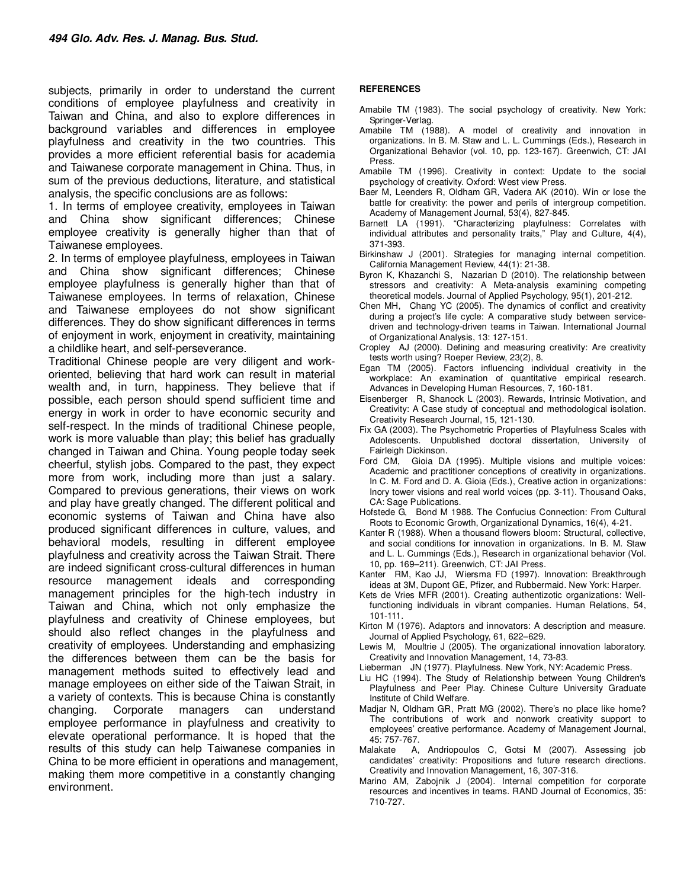subjects, primarily in order to understand the current conditions of employee playfulness and creativity in Taiwan and China, and also to explore differences in background variables and differences in employee playfulness and creativity in the two countries. This provides a more efficient referential basis for academia and Taiwanese corporate management in China. Thus, in sum of the previous deductions, literature, and statistical analysis, the specific conclusions are as follows:

1. In terms of employee creativity, employees in Taiwan and China show significant differences; Chinese employee creativity is generally higher than that of Taiwanese employees.

2. In terms of employee playfulness, employees in Taiwan and China show significant differences; Chinese employee playfulness is generally higher than that of Taiwanese employees. In terms of relaxation, Chinese and Taiwanese employees do not show significant differences. They do show significant differences in terms of enjoyment in work, enjoyment in creativity, maintaining a childlike heart, and self-perseverance.

Traditional Chinese people are very diligent and workoriented, believing that hard work can result in material wealth and, in turn, happiness. They believe that if possible, each person should spend sufficient time and energy in work in order to have economic security and self-respect. In the minds of traditional Chinese people, work is more valuable than play; this belief has gradually changed in Taiwan and China. Young people today seek cheerful, stylish jobs. Compared to the past, they expect more from work, including more than just a salary. Compared to previous generations, their views on work and play have greatly changed. The different political and economic systems of Taiwan and China have also produced significant differences in culture, values, and behavioral models, resulting in different employee playfulness and creativity across the Taiwan Strait. There are indeed significant cross-cultural differences in human resource management ideals and corresponding management principles for the high-tech industry in Taiwan and China, which not only emphasize the playfulness and creativity of Chinese employees, but should also reflect changes in the playfulness and creativity of employees. Understanding and emphasizing the differences between them can be the basis for management methods suited to effectively lead and manage employees on either side of the Taiwan Strait, in a variety of contexts. This is because China is constantly changing. Corporate managers can understand employee performance in playfulness and creativity to elevate operational performance. It is hoped that the results of this study can help Taiwanese companies in China to be more efficient in operations and management, making them more competitive in a constantly changing environment.

#### **REFERENCES**

- Amabile TM (1983). The social psychology of creativity. New York: Springer-Verlag.
- Amabile TM (1988). A model of creativity and innovation in organizations. In B. M. Staw and L. L. Cummings (Eds.), Research in Organizational Behavior (vol. 10, pp. 123-167). Greenwich, CT: JAI Press.
- Amabile TM (1996). Creativity in context: Update to the social psychology of creativity. Oxford: West view Press.
- Baer M, Leenders R, Oldham GR, Vadera AK (2010). Win or lose the battle for creativity: the power and perils of intergroup competition. Academy of Management Journal, 53(4), 827-845.
- Barnett LA (1991). "Characterizing playfulness: Correlates with individual attributes and personality traits," Play and Culture, 4(4), 371-393.
- Birkinshaw J (2001). Strategies for managing internal competition. California Management Review, 44(1): 21-38.
- Byron K, Khazanchi S, Nazarian D (2010). The relationship between stressors and creativity: A Meta-analysis examining competing theoretical models. Journal of Applied Psychology, 95(1), 201-212.
- Chen MH, Chang YC (2005). The dynamics of conflict and creativity during a project's life cycle: A comparative study between servicedriven and technology-driven teams in Taiwan. International Journal of Organizational Analysis, 13: 127-151.
- Cropley AJ (2000). Defining and measuring creativity: Are creativity tests worth using? Roeper Review, 23(2), 8.
- Egan TM (2005). Factors influencing individual creativity in the workplace: An examination of quantitative empirical research. Advances in Developing Human Resources, 7, 160-181.
- Eisenberger R, Shanock L (2003). Rewards, Intrinsic Motivation, and Creativity: A Case study of conceptual and methodological isolation. Creativity Research Journal, 15, 121-130.
- Fix GA (2003). The Psychometric Properties of Playfulness Scales with Adolescents. Unpublished doctoral dissertation, University of Fairleigh Dickinson.
- Ford CM, Gioia DA (1995). Multiple visions and multiple voices: Academic and practitioner conceptions of creativity in organizations. In C. M. Ford and D. A. Gioia (Eds.), Creative action in organizations: Inory tower visions and real world voices (pp. 3-11). Thousand Oaks, CA: Sage Publications.
- Hofstede G, Bond M 1988. The Confucius Connection: From Cultural Roots to Economic Growth, Organizational Dynamics, 16(4), 4-21.
- Kanter R (1988). When a thousand flowers bloom: Structural, collective, and social conditions for innovation in organizations. In B. M. Staw and L. L. Cummings (Eds.), Research in organizational behavior (Vol. 10, pp. 169–211). Greenwich, CT: JAI Press.
- Kanter RM, Kao JJ, Wiersma FD (1997). Innovation: Breakthrough ideas at 3M, Dupont GE, Pfizer, and Rubbermaid. New York: Harper.
- Kets de Vries MFR (2001). Creating authentizotic organizations: Wellfunctioning individuals in vibrant companies. Human Relations, 54, 101-111.
- Kirton M (1976). Adaptors and innovators: A description and measure. Journal of Applied Psychology, 61, 622–629.
- Lewis M, Moultrie J (2005). The organizational innovation laboratory. Creativity and Innovation Management, 14, 73-83.
- Lieberman JN (1977). Playfulness. New York, NY: Academic Press.
- Liu HC (1994). The Study of Relationship between Young Children's Playfulness and Peer Play. Chinese Culture University Graduate Institute of Child Welfare.
- Madjar N, Oldham GR, Pratt MG (2002). There's no place like home? The contributions of work and nonwork creativity support to employees' creative performance. Academy of Management Journal, 45: 757-767.
- Malakate A, Andriopoulos C, Gotsi M (2007). Assessing job candidates' creativity: Propositions and future research directions. Creativity and Innovation Management, 16, 307-316.
- Marino AM, Zabojnik J (2004). Internal competition for corporate resources and incentives in teams. RAND Journal of Economics, 35: 710-727.